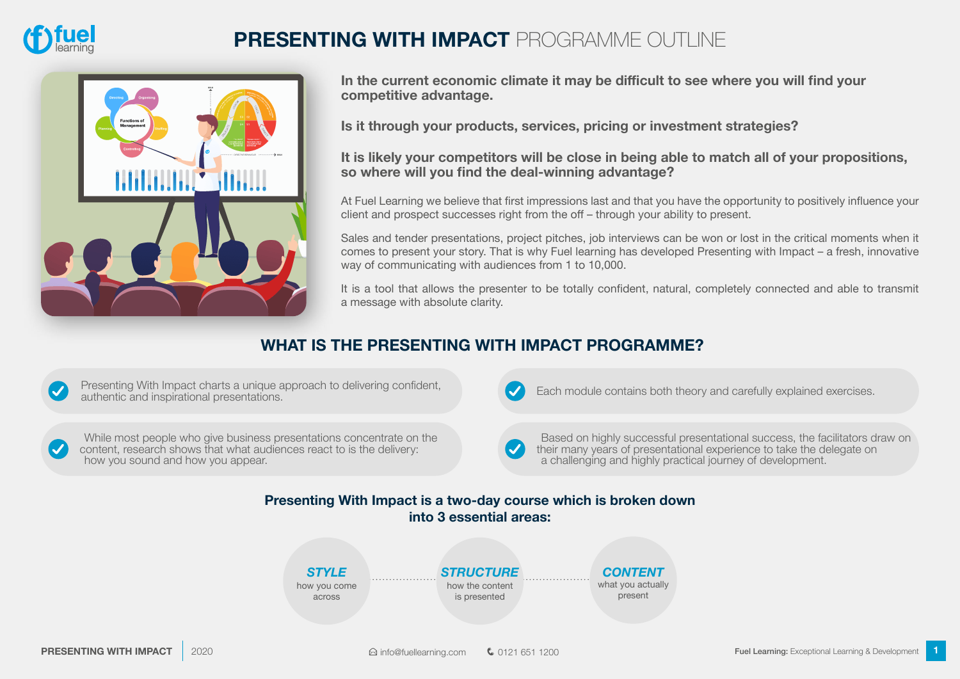

## **PRESENTING WITH IMPACT** PROGRAMME OUTLINE



**In the current economic climate it may be difficult to see where you will find your competitive advantage.** 

**Is it through your products, services, pricing or investment strategies?** 

**It is likely your competitors will be close in being able to match all of your propositions, so where will you find the deal-winning advantage?**

At Fuel Learning we believe that first impressions last and that you have the opportunity to positively influence your client and prospect successes right from the off – through your ability to present.

Sales and tender presentations, project pitches, job interviews can be won or lost in the critical moments when it comes to present your story. That is why Fuel learning has developed Presenting with Impact – a fresh, innovative way of communicating with audiences from 1 to 10,000.

It is a tool that allows the presenter to be totally confident, natural, completely connected and able to transmit a message with absolute clarity.

#### **WHAT IS THE PRESENTING WITH IMPACT PROGRAMME?**

Presenting With Impact charts a unique approach to delivering confident, authentic and inspirational presentations.

While most people who give business presentations concentrate on the content, research shows that what audiences react to is the delivery: how you sound and how you appear.

Each module contains both theory and carefully explained exercises.

Based on highly successful presentational success, the facilitators draw on their many years of presentational experience to take the delegate on a challenging and highly practical journey of development.

#### **Presenting With Impact is a two-day course which is broken down into 3 essential areas:**

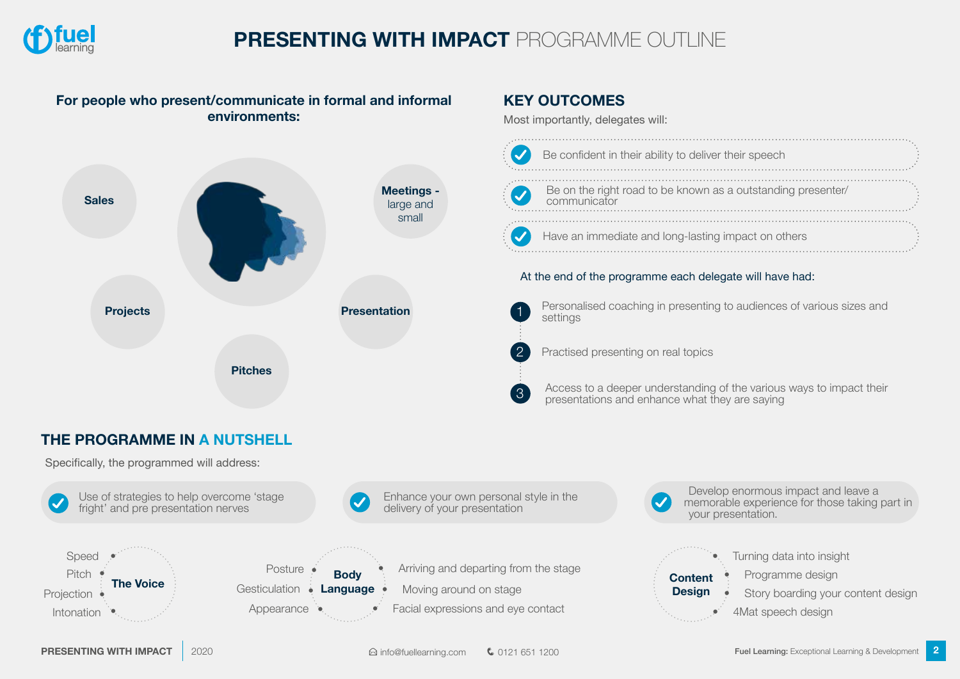

# **PRESENTING WITH IMPACT** PROGRAMME OUTLINE

#### **For people who present/communicate in formal and informal environments:**



#### **KEY OUTCOMES**

Most importantly, delegates will:

| $\blacktriangledown$     | Be confident in their ability to deliver their speech                        |  |
|--------------------------|------------------------------------------------------------------------------|--|
| <b>Q</b>                 | Be on the right road to be known as a outstanding presenter/<br>communicator |  |
| $\overline{\mathcal{A}}$ | Have an immediate and long-lasting impact on others                          |  |

#### At the end of the programme each delegate will have had:

1

2

3

Personalised coaching in presenting to audiences of various sizes and settings



Access to a deeper understanding of the various ways to impact their presentations and enhance what they are saying

### **THE PROGRAMME IN A NUTSHELL**

Specifically, the programmed will address: